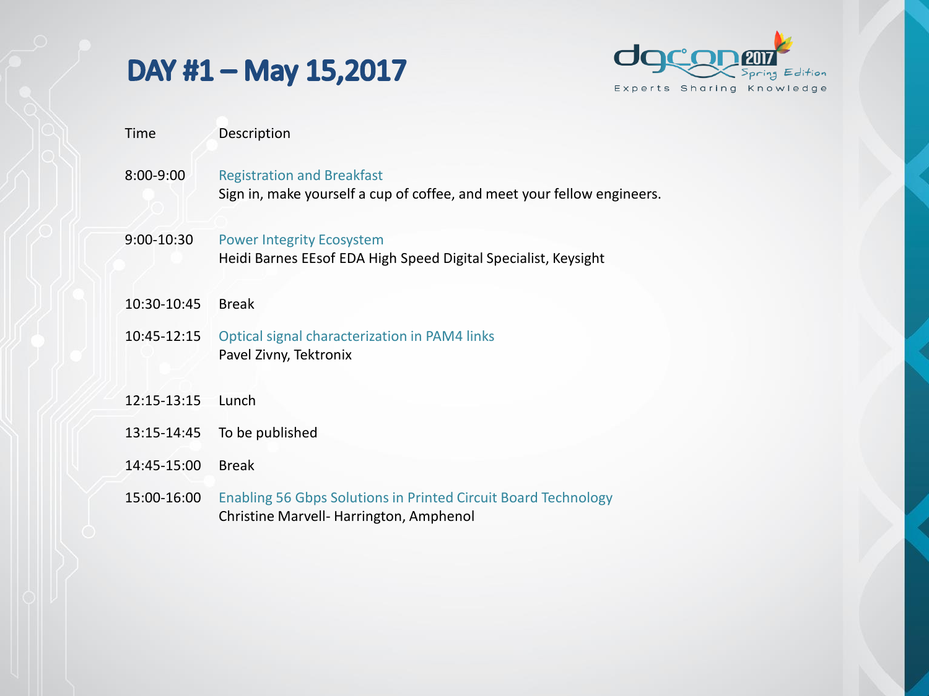## DAY #1 - May 15,2017



- Time Description
- 8:00-9:00 Registration and Breakfast Sign in, make yourself a cup of coffee, and meet your fellow engineers.
- 9:00-10:30 Power Integrity Ecosystem Heidi Barnes EEsof EDA High Speed Digital Specialist, Keysight
- 10:30-10:45 Break
- 10:45-12:15 Optical signal characterization in PAM4 links Pavel Zivny, Tektronix
- 12:15-13:15 Lunch
- 13:15-14:45 To be published
- 14:45-15:00 Break
- 15:00-16:00 Enabling 56 Gbps Solutions in Printed Circuit Board Technology Christine Marvell- Harrington, Amphenol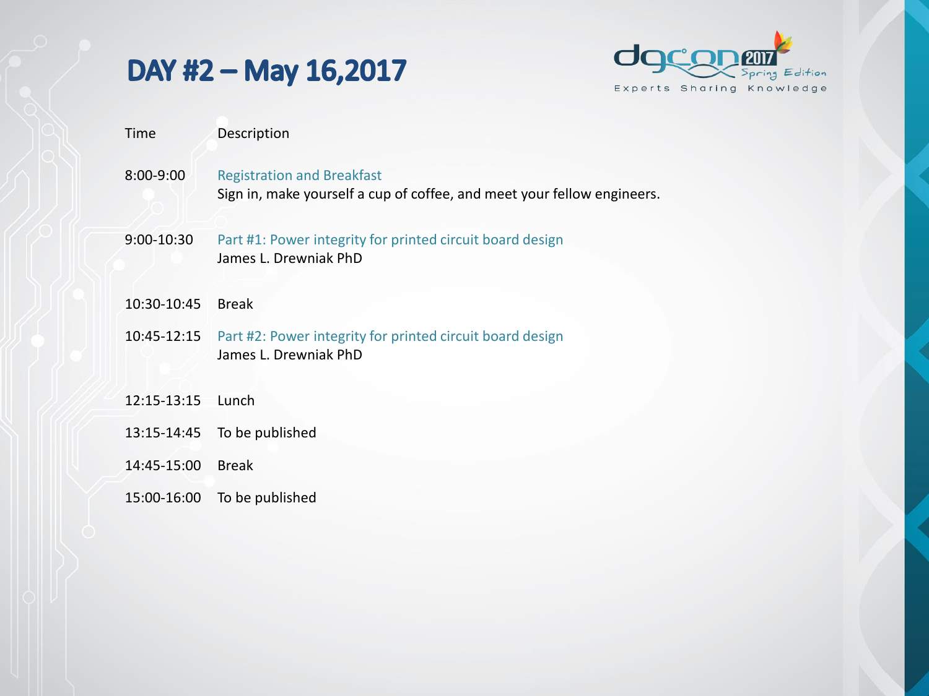## DAY #2 - May 16,2017



- Time Description
- 8:00-9:00 Registration and Breakfast Sign in, make yourself a cup of coffee, and meet your fellow engineers.
- 9:00-10:30 Part #1: Power integrity for printed circuit board design James L. Drewniak PhD
- 10:30-10:45 Break
- 10:45-12:15 Part #2: Power integrity for printed circuit board design James L. Drewniak PhD
- 12:15-13:15 Lunch
- 13:15-14:45 To be published
- 14:45-15:00 Break
- 15:00-16:00 To be published